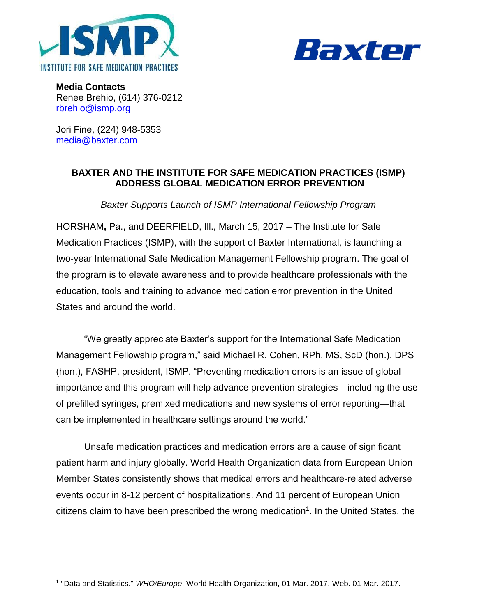



**Media Contacts** Renee Brehio, (614) 376-0212 [rbrehio@ismp.org](mailto:rbrehio@ismp.org)

Jori Fine, (224) 948-5353 [media@baxter.com](mailto:media@baxter.com)

## **BAXTER AND THE INSTITUTE FOR SAFE MEDICATION PRACTICES (ISMP) ADDRESS GLOBAL MEDICATION ERROR PREVENTION**

*Baxter Supports Launch of ISMP International Fellowship Program* 

HORSHAM**,** Pa., and DEERFIELD, Ill., March 15, 2017 – The Institute for Safe Medication Practices (ISMP), with the support of Baxter International, is launching a two-year International Safe Medication Management Fellowship program. The goal of the program is to elevate awareness and to provide healthcare professionals with the education, tools and training to advance medication error prevention in the United States and around the world.

"We greatly appreciate Baxter's support for the International Safe Medication Management Fellowship program," said Michael R. Cohen, RPh, MS, ScD (hon.), DPS (hon.), FASHP, president, ISMP. "Preventing medication errors is an issue of global importance and this program will help advance prevention strategies—including the use of prefilled syringes, premixed medications and new systems of error reporting—that can be implemented in healthcare settings around the world."

Unsafe medication practices and medication errors are a cause of significant patient harm and injury globally. World Health Organization data from European Union Member States consistently shows that medical errors and healthcare-related adverse events occur in 8-12 percent of hospitalizations. And 11 percent of European Union  $c$ itizens claim to have been prescribed the wrong medication<sup>1</sup>. In the United States, the

 $\overline{a}$ <sup>1</sup> "Data and Statistics." WHO/Europe. World Health Organization, 01 Mar. 2017. Web. 01 Mar. 2017.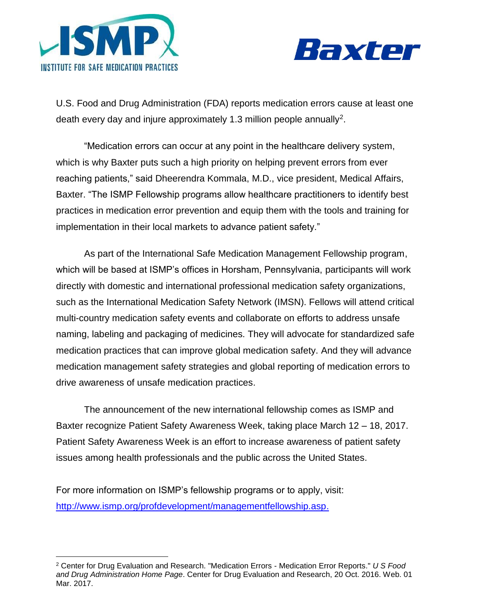



U.S. Food and Drug Administration (FDA) reports medication errors cause at least one death every day and injure approximately 1.3 million people annually<sup>2</sup>.

"Medication errors can occur at any point in the healthcare delivery system, which is why Baxter puts such a high priority on helping prevent errors from ever reaching patients," said Dheerendra Kommala, M.D., vice president, Medical Affairs, Baxter. "The ISMP Fellowship programs allow healthcare practitioners to identify best practices in medication error prevention and equip them with the tools and training for implementation in their local markets to advance patient safety."

As part of the International Safe Medication Management Fellowship program, which will be based at ISMP's offices in Horsham, Pennsylvania, participants will work directly with domestic and international professional medication safety organizations, such as the International Medication Safety Network (IMSN). Fellows will attend critical multi-country medication safety events and collaborate on efforts to address unsafe naming, labeling and packaging of medicines. They will advocate for standardized safe medication practices that can improve global medication safety. And they will advance medication management safety strategies and global reporting of medication errors to drive awareness of unsafe medication practices.

The announcement of the new international fellowship comes as ISMP and Baxter recognize Patient Safety Awareness Week, taking place March 12 – 18, 2017. Patient Safety Awareness Week is an effort to increase awareness of patient safety issues among health professionals and the public across the United States.

For more information on ISMP's fellowship programs or to apply, visit: [http://www.ismp.org/profdevelopment/managementfellowship.asp.](http://www.ismp.org/profdevelopment/managementfellowship.asp)

 $\overline{a}$ <sup>2</sup> Center for Drug Evaluation and Research. "Medication Errors - Medication Error Reports." *U S Food and Drug Administration Home Page*. Center for Drug Evaluation and Research, 20 Oct. 2016. Web. 01 Mar. 2017.